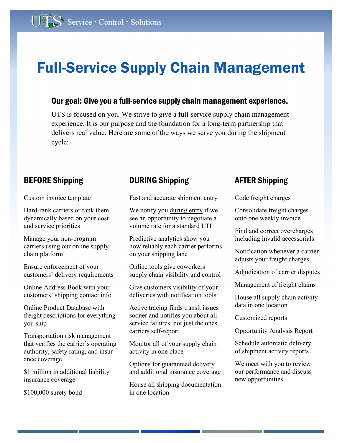## Full-Service Supply Chain Management

### Our goal: Give you a full-service supply chain management experience.

UTS is focused on you. We strive to give a full-service supply chain management experience. It is our purpose and the foundation for a long-term partnership that delivers real value. Here are some of the ways we serve you during the shipment cycle:

Custom invoice template

Hard-rank carriers or rank them dynamically based on your cost and service priorities

Manage your non-program carriers using our online supply chain platform

Ensure enforcement of your customers' delivery requirements

Online Address Book with your customers' shipping contact info

Online Product Database with freight descriptions for everything you ship

Transportation risk management that verifies the carrier's operating authority, safety rating, and insurance coverage

\$1 million in additional liability insurance coverage

\$100,000 surety bond

## BEFORE Shipping **DURING Shipping DURING** Shipping

Fast and accurate shipment entry

We notify you during entry if we see an opportunity to negotiate a volume rate for a standard LTL

Predictive analytics show you how reliably each carrier performs on your shipping lane

Online tools give coworkers supply chain visibility and control

Give customers visibility of your deliveries with notification tools

Active tracing finds transit issues sooner and notifies you about all service failures, not just the ones carriers self-report

Monitor all of your supply chain activity in one place

Options for guaranteed delivery and additional insurance coverage

House all shipping documentation in one location

Code freight charges

Consolidate freight charges onto one weekly invoice

Find and correct overcharges including invalid accessorials

Notification whenever a carrier adjusts your freight charges

Adjudication of carrier disputes

Management of freight claims

House all supply chain activity data in one location

Customized reports

Opportunity Analysis Report

Schedule automatic delivery of shipment activity reports

We meet with you to review our performance and discuss new opportunities